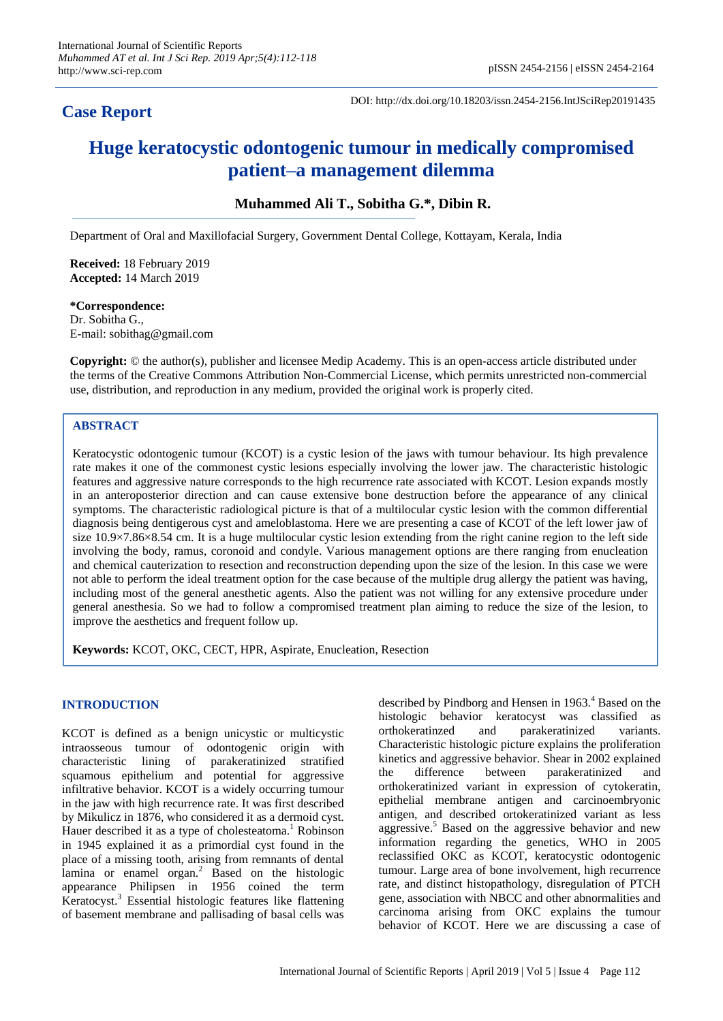# **Case Report**

DOI: http://dx.doi.org/10.18203/issn.2454-2156.IntJSciRep20191435

# **Huge keratocystic odontogenic tumour in medically compromised patient–a management dilemma**

**Muhammed Ali T., Sobitha G.\*, Dibin R.**

Department of Oral and Maxillofacial Surgery, Government Dental College, Kottayam, Kerala, India

**Received:** 18 February 2019 **Accepted:** 14 March 2019

**\*Correspondence:** Dr. Sobitha G., E-mail: sobithag@gmail.com

**Copyright:** © the author(s), publisher and licensee Medip Academy. This is an open-access article distributed under the terms of the Creative Commons Attribution Non-Commercial License, which permits unrestricted non-commercial use, distribution, and reproduction in any medium, provided the original work is properly cited.

# **ABSTRACT**

Keratocystic odontogenic tumour (KCOT) is a cystic lesion of the jaws with tumour behaviour. Its high prevalence rate makes it one of the commonest cystic lesions especially involving the lower jaw. The characteristic histologic features and aggressive nature corresponds to the high recurrence rate associated with KCOT. Lesion expands mostly in an anteroposterior direction and can cause extensive bone destruction before the appearance of any clinical symptoms. The characteristic radiological picture is that of a multilocular cystic lesion with the common differential diagnosis being dentigerous cyst and ameloblastoma. Here we are presenting a case of KCOT of the left lower jaw of size 10.9×7.86×8.54 cm. It is a huge multilocular cystic lesion extending from the right canine region to the left side involving the body, ramus, coronoid and condyle. Various management options are there ranging from enucleation and chemical cauterization to resection and reconstruction depending upon the size of the lesion. In this case we were not able to perform the ideal treatment option for the case because of the multiple drug allergy the patient was having, including most of the general anesthetic agents. Also the patient was not willing for any extensive procedure under general anesthesia. So we had to follow a compromised treatment plan aiming to reduce the size of the lesion, to improve the aesthetics and frequent follow up.

**Keywords:** KCOT, OKC, CECT, HPR, Aspirate, Enucleation, Resection

### **INTRODUCTION**

KCOT is defined as a benign unicystic or multicystic intraosseous tumour of odontogenic origin with characteristic lining of parakeratinized stratified squamous epithelium and potential for aggressive infiltrative behavior. KCOT is a widely occurring tumour in the jaw with high recurrence rate. It was first described by Mikulicz in 1876, who considered it as a dermoid cyst. Hauer described it as a type of cholesteatoma.<sup>1</sup> Robinson in 1945 explained it as a primordial cyst found in the place of a missing tooth, arising from remnants of dental lamina or enamel organ.<sup>2</sup> Based on the histologic appearance Philipsen in 1956 coined the term Keratocyst.<sup>3</sup> Essential histologic features like flattening of basement membrane and pallisading of basal cells was described by Pindborg and Hensen in 1963.<sup>4</sup> Based on the histologic behavior keratocyst was classified as orthokeratinzed and parakeratinized variants. Characteristic histologic picture explains the proliferation kinetics and aggressive behavior. Shear in 2002 explained the difference between parakeratinized and orthokeratinized variant in expression of cytokeratin, epithelial membrane antigen and carcinoembryonic antigen, and described ortokeratinized variant as less aggressive.<sup>5</sup> Based on the aggressive behavior and new information regarding the genetics, WHO in 2005 reclassified OKC as KCOT, keratocystic odontogenic tumour. Large area of bone involvement, high recurrence rate, and distinct histopathology, disregulation of PTCH gene, association with NBCC and other abnormalities and carcinoma arising from OKC explains the tumour behavior of KCOT. Here we are discussing a case of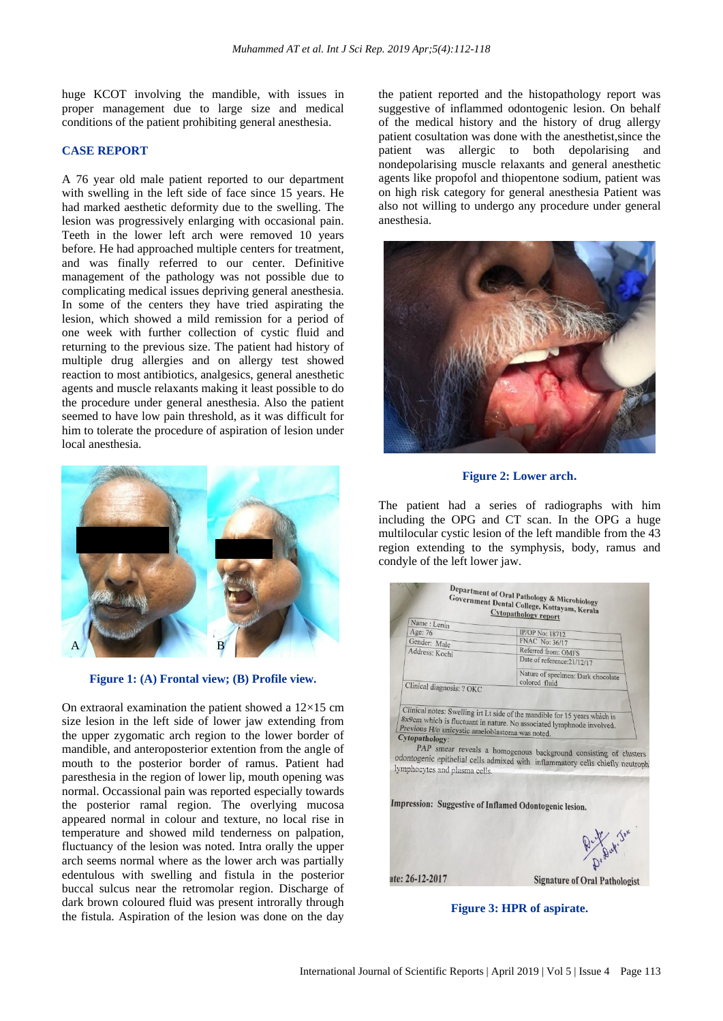huge KCOT involving the mandible, with issues in proper management due to large size and medical conditions of the patient prohibiting general anesthesia.

#### **CASE REPORT**

A 76 year old male patient reported to our department with swelling in the left side of face since 15 years. He had marked aesthetic deformity due to the swelling. The lesion was progressively enlarging with occasional pain. Teeth in the lower left arch were removed 10 years before. He had approached multiple centers for treatment, and was finally referred to our center. Definitive management of the pathology was not possible due to complicating medical issues depriving general anesthesia. In some of the centers they have tried aspirating the lesion, which showed a mild remission for a period of one week with further collection of cystic fluid and returning to the previous size. The patient had history of multiple drug allergies and on allergy test showed reaction to most antibiotics, analgesics, general anesthetic agents and muscle relaxants making it least possible to do the procedure under general anesthesia. Also the patient seemed to have low pain threshold, as it was difficult for him to tolerate the procedure of aspiration of lesion under local anesthesia.



**Figure 1: (A) Frontal view; (B) Profile view.**

On extraoral examination the patient showed a  $12\times15$  cm size lesion in the left side of lower jaw extending from the upper zygomatic arch region to the lower border of mandible, and anteroposterior extention from the angle of mouth to the posterior border of ramus. Patient had paresthesia in the region of lower lip, mouth opening was normal. Occassional pain was reported especially towards the posterior ramal region. The overlying mucosa appeared normal in colour and texture, no local rise in temperature and showed mild tenderness on palpation, fluctuancy of the lesion was noted. Intra orally the upper arch seems normal where as the lower arch was partially edentulous with swelling and fistula in the posterior buccal sulcus near the retromolar region. Discharge of dark brown coloured fluid was present introrally through the fistula. Aspiration of the lesion was done on the day the patient reported and the histopathology report was suggestive of inflammed odontogenic lesion. On behalf of the medical history and the history of drug allergy patient cosultation was done with the anesthetist,since the patient was allergic to both depolarising and nondepolarising muscle relaxants and general anesthetic agents like propofol and thiopentone sodium, patient was on high risk category for general anesthesia Patient was also not willing to undergo any procedure under general anesthesia.



**Figure 2: Lower arch.**

The patient had a series of radiographs with him including the OPG and CT scan. In the OPG a huge multilocular cystic lesion of the left mandible from the 43 region extending to the symphysis, body, ramus and condyle of the left lower jaw.

| Name: Lenin                                                              | <b>Cytopathology report</b>                                                   |  |
|--------------------------------------------------------------------------|-------------------------------------------------------------------------------|--|
| Age: 76                                                                  | <b>IP/OP No: 18712</b>                                                        |  |
| Gender: Male                                                             | FNAC No: 36/17                                                                |  |
| Address: Kochi                                                           | Referred from: OMFS                                                           |  |
|                                                                          | Date of reference: 21/12/17                                                   |  |
|                                                                          | Nature of specimen: Dark chocolate<br>colored fluid                           |  |
| Clinical diagnosis: ? OKC                                                |                                                                               |  |
|                                                                          |                                                                               |  |
|                                                                          | Clinical notes: Swelling irt Lt side of the mandible for 15 years which is    |  |
|                                                                          | 8x9cm which is fluctuant in nature. No associated lymphnode involved.         |  |
|                                                                          |                                                                               |  |
|                                                                          |                                                                               |  |
| Previous H/o unicystic ameioblastoma was noted.<br><b>Cytopathology:</b> |                                                                               |  |
|                                                                          |                                                                               |  |
|                                                                          | PAP smear reveals a homogenous background consisting of clusters              |  |
|                                                                          | odontogenic epithelial cells admixed with inflammatory cells chiefly neutroph |  |
| lymphocytes and plasma cells.                                            |                                                                               |  |
|                                                                          |                                                                               |  |
|                                                                          |                                                                               |  |
|                                                                          |                                                                               |  |
|                                                                          | Impression: Suggestive of Inflamed Odontogenic lesion.                        |  |
|                                                                          |                                                                               |  |
|                                                                          |                                                                               |  |
|                                                                          |                                                                               |  |
|                                                                          |                                                                               |  |
|                                                                          |                                                                               |  |
|                                                                          | Dr. Depot. Jun                                                                |  |

**Figure 3: HPR of aspirate.**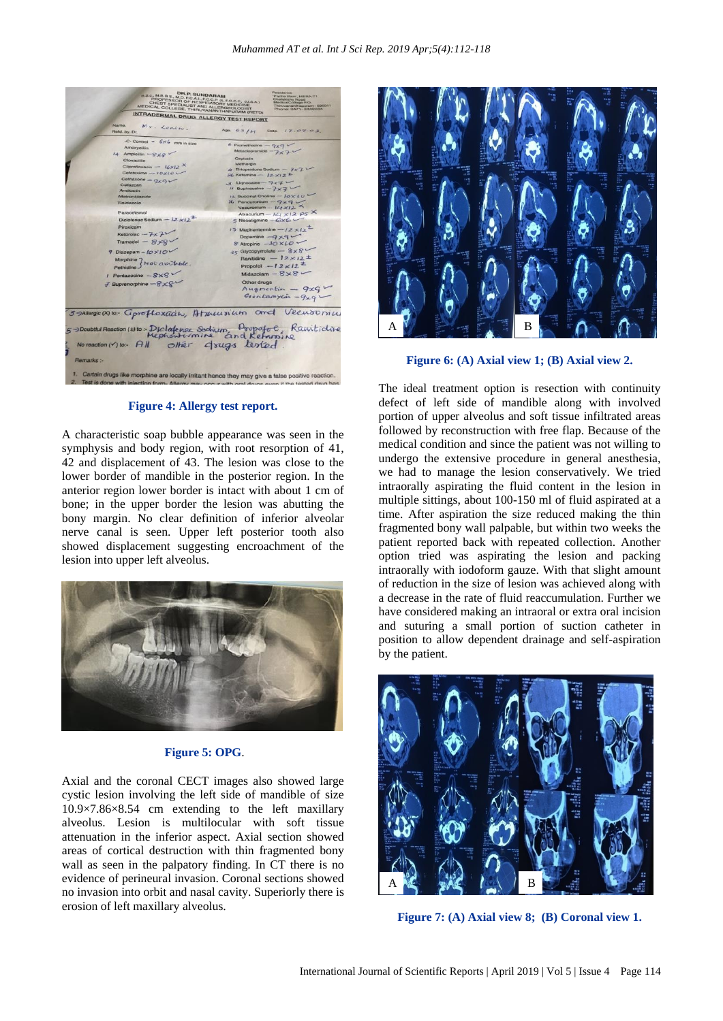

**Figure 4: Allergy test report.**

A characteristic soap bubble appearance was seen in the symphysis and body region, with root resorption of 41, 42 and displacement of 43. The lesion was close to the lower border of mandible in the posterior region. In the anterior region lower border is intact with about 1 cm of bone; in the upper border the lesion was abutting the bony margin. No clear definition of inferior alveolar nerve canal is seen. Upper left posterior tooth also showed displacement suggesting encroachment of the lesion into upper left alveolus.



#### **Figure 5: OPG**.

Axial and the coronal CECT images also showed large cystic lesion involving the left side of mandible of size 10.9×7.86×8.54 cm extending to the left maxillary alveolus. Lesion is multilocular with soft tissue attenuation in the inferior aspect. Axial section showed areas of cortical destruction with thin fragmented bony wall as seen in the palpatory finding. In CT there is no evidence of perineural invasion. Coronal sections showed no invasion into orbit and nasal cavity. Superiorly there is erosion of left maxillary alveolus.



**Figure 6: (A) Axial view 1; (B) Axial view 2.**

The ideal treatment option is resection with continuity defect of left side of mandible along with involved portion of upper alveolus and soft tissue infiltrated areas followed by reconstruction with free flap. Because of the medical condition and since the patient was not willing to undergo the extensive procedure in general anesthesia, we had to manage the lesion conservatively. We tried intraorally aspirating the fluid content in the lesion in multiple sittings, about 100-150 ml of fluid aspirated at a time. After aspiration the size reduced making the thin fragmented bony wall palpable, but within two weeks the patient reported back with repeated collection. Another option tried was aspirating the lesion and packing intraorally with iodoform gauze. With that slight amount of reduction in the size of lesion was achieved along with a decrease in the rate of fluid reaccumulation. Further we have considered making an intraoral or extra oral incision and suturing a small portion of suction catheter in position to allow dependent drainage and self-aspiration by the patient.



**Figure 7: (A) Axial view 8; (B) Coronal view 1.**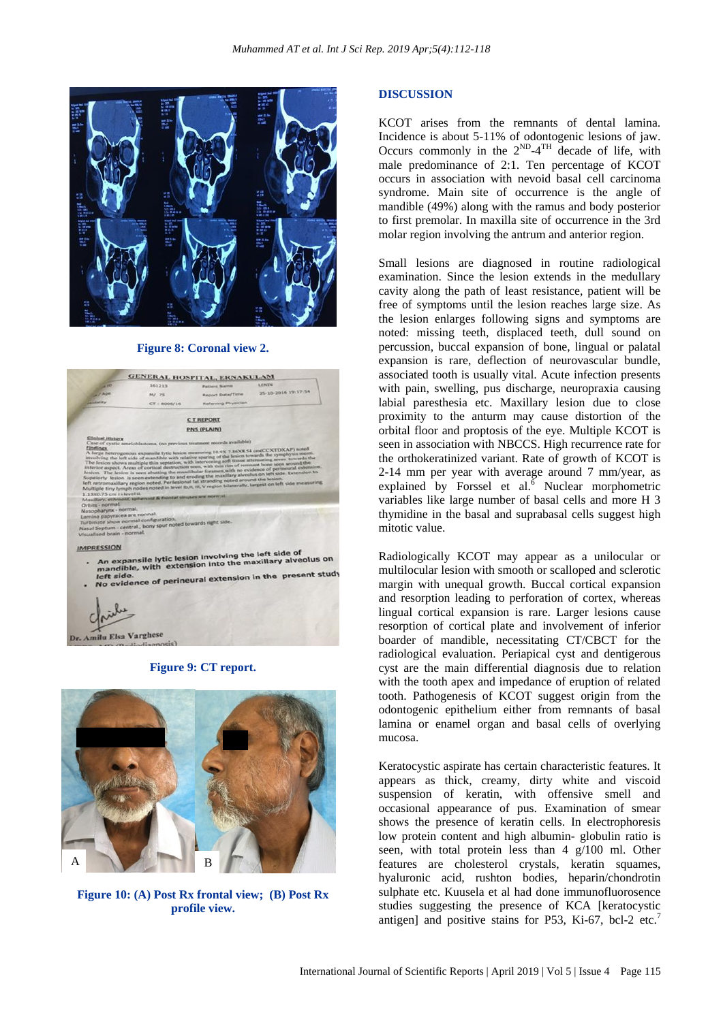

#### **Figure 8: Coronal view 2.**

| <b>UR BET</b>                                                                                                                                                                            | 161213                                                                                                                       | <b>Patient Narris</b>                                                                                                                                                                                                                                                                                                                                              | <b>LICINERS</b>                                                                                                                                                                                                                                                                                                                                                                                                                                                                                                                             |
|------------------------------------------------------------------------------------------------------------------------------------------------------------------------------------------|------------------------------------------------------------------------------------------------------------------------------|--------------------------------------------------------------------------------------------------------------------------------------------------------------------------------------------------------------------------------------------------------------------------------------------------------------------------------------------------------------------|---------------------------------------------------------------------------------------------------------------------------------------------------------------------------------------------------------------------------------------------------------------------------------------------------------------------------------------------------------------------------------------------------------------------------------------------------------------------------------------------------------------------------------------------|
| 17800                                                                                                                                                                                    | M/ 75                                                                                                                        | Report Date/Time                                                                                                                                                                                                                                                                                                                                                   | 25-10-2016 19:17:54                                                                                                                                                                                                                                                                                                                                                                                                                                                                                                                         |
| <b><i><u>UNISSIMATE</u></i></b>                                                                                                                                                          | $CT$   BOOS/16                                                                                                               | Referring Physician                                                                                                                                                                                                                                                                                                                                                |                                                                                                                                                                                                                                                                                                                                                                                                                                                                                                                                             |
|                                                                                                                                                                                          |                                                                                                                              |                                                                                                                                                                                                                                                                                                                                                                    |                                                                                                                                                                                                                                                                                                                                                                                                                                                                                                                                             |
|                                                                                                                                                                                          |                                                                                                                              | <b>CTREPORT</b>                                                                                                                                                                                                                                                                                                                                                    |                                                                                                                                                                                                                                                                                                                                                                                                                                                                                                                                             |
|                                                                                                                                                                                          |                                                                                                                              | <b>PNS (PLAIN)</b>                                                                                                                                                                                                                                                                                                                                                 |                                                                                                                                                                                                                                                                                                                                                                                                                                                                                                                                             |
| Findings<br>1.13X0.75 cm in level ii.<br>Orbits - normal.<br>Nasopharynx - normal.<br>Lamina papyracea are normal.<br>Turbinate show normal configuration.<br>Visualised brain - normal. | Maxillary, ethniquit, spheroid & frontat sinuses one normal.<br>Nasal Septum - central., bony spur noted towards right side. | Case of cystic ameloblastoma, (no previous treatment records available)<br>A large heterogenous expansile lytic lesion measuring 10.9X 7.86X8.54 cm(CCXTDXAP) soted<br>inferior aspect. Areas of cortical destruction seen, with this rim of remnant bone seen around the<br>left retromaxillary region noted. Perilesional fat stranding noted around the lesion. | involving the left side of mandible with relative sparing of the lesion towards the symphysis menti.<br>The lesion shows multiple thin septation, with intervening soft tissue attenuating areas. towards the<br>lesion. The lesion is seen abutting the mandibular foramen, with no evidence of perineural extension.<br>Supelorly liesion is seen extending to and eroding the maxillary alveolus on left side. Extension to<br>Multiple tiny lymph nodes noted in level Ib.II, III, V region bilaterally, largest on left side measuring |
| <b>IMPRESSION</b><br>۰                                                                                                                                                                   |                                                                                                                              | An expansile lytic lesion involving the left side of                                                                                                                                                                                                                                                                                                               | mandible, with extension into the maxillary alveolus on                                                                                                                                                                                                                                                                                                                                                                                                                                                                                     |
|                                                                                                                                                                                          |                                                                                                                              |                                                                                                                                                                                                                                                                                                                                                                    | No evidence of perineural extension in the present study                                                                                                                                                                                                                                                                                                                                                                                                                                                                                    |

**Figure 9: CT report.**



**Figure 10: (A) Post Rx frontal view; (B) Post Rx profile view.**

#### **DISCUSSION**

KCOT arises from the remnants of dental lamina. Incidence is about 5-11% of odontogenic lesions of jaw. Occurs commonly in the  $2^{ND} - 4^{TH}$  decade of life, with male predominance of 2:1. Ten percentage of KCOT occurs in association with nevoid basal cell carcinoma syndrome. Main site of occurrence is the angle of mandible (49%) along with the ramus and body posterior to first premolar. In maxilla site of occurrence in the 3rd molar region involving the antrum and anterior region.

Small lesions are diagnosed in routine radiological examination. Since the lesion extends in the medullary cavity along the path of least resistance, patient will be free of symptoms until the lesion reaches large size. As the lesion enlarges following signs and symptoms are noted: missing teeth, displaced teeth, dull sound on percussion, buccal expansion of bone, lingual or palatal expansion is rare, deflection of neurovascular bundle, associated tooth is usually vital. Acute infection presents with pain, swelling, pus discharge, neuropraxia causing labial paresthesia etc. Maxillary lesion due to close proximity to the anturm may cause distortion of the orbital floor and proptosis of the eye. Multiple KCOT is seen in association with NBCCS. High recurrence rate for the orthokeratinized variant. Rate of growth of KCOT is 2-14 mm per year with average around 7 mm/year, as explained by Forssel et al. $\overline{6}$  Nuclear morphometric variables like large number of basal cells and more H 3 thymidine in the basal and suprabasal cells suggest high mitotic value.

Radiologically KCOT may appear as a unilocular or multilocular lesion with smooth or scalloped and sclerotic margin with unequal growth. Buccal cortical expansion and resorption leading to perforation of cortex, whereas lingual cortical expansion is rare. Larger lesions cause resorption of cortical plate and involvement of inferior boarder of mandible, necessitating CT/CBCT for the radiological evaluation. Periapical cyst and dentigerous cyst are the main differential diagnosis due to relation with the tooth apex and impedance of eruption of related tooth. Pathogenesis of KCOT suggest origin from the odontogenic epithelium either from remnants of basal lamina or enamel organ and basal cells of overlying mucosa.

Keratocystic aspirate has certain characteristic features. It appears as thick, creamy, dirty white and viscoid suspension of keratin, with offensive smell and occasional appearance of pus. Examination of smear shows the presence of keratin cells. In electrophoresis low protein content and high albumin- globulin ratio is seen, with total protein less than 4 g/100 ml. Other features are cholesterol crystals, keratin squames, hyaluronic acid, rushton bodies, heparin/chondrotin sulphate etc. Kuusela et al had done immunofluorosence studies suggesting the presence of KCA [keratocystic antigen] and positive stains for P53, Ki-67, bcl-2 etc.<sup>7</sup>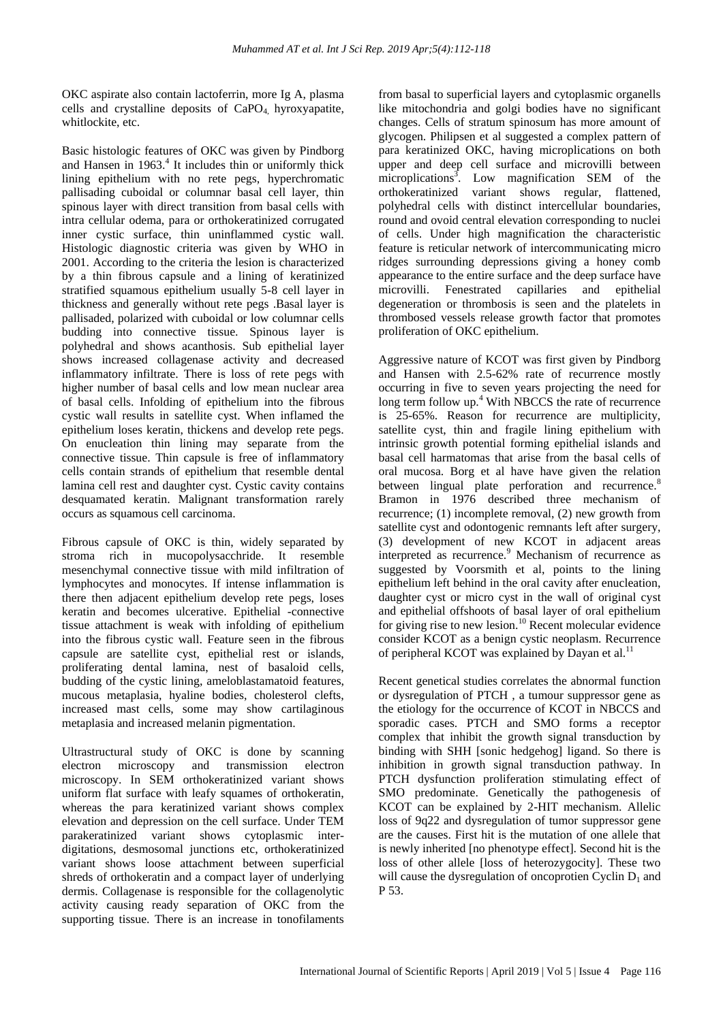OKC aspirate also contain lactoferrin, more Ig A, plasma cells and crystalline deposits of  $CaPO<sub>4</sub>$  hyroxyapatite, whitlockite, etc.

Basic histologic features of OKC was given by Pindborg and Hansen in 1963.<sup>4</sup> It includes thin or uniformly thick lining epithelium with no rete pegs, hyperchromatic pallisading cuboidal or columnar basal cell layer, thin spinous layer with direct transition from basal cells with intra cellular odema, para or orthokeratinized corrugated inner cystic surface, thin uninflammed cystic wall. Histologic diagnostic criteria was given by WHO in 2001. According to the criteria the lesion is characterized by a thin fibrous capsule and a lining of keratinized stratified squamous epithelium usually 5-8 cell layer in thickness and generally without rete pegs .Basal layer is pallisaded, polarized with cuboidal or low columnar cells budding into connective tissue. Spinous layer is polyhedral and shows acanthosis. Sub epithelial layer shows increased collagenase activity and decreased inflammatory infiltrate. There is loss of rete pegs with higher number of basal cells and low mean nuclear area of basal cells. Infolding of epithelium into the fibrous cystic wall results in satellite cyst. When inflamed the epithelium loses keratin, thickens and develop rete pegs. On enucleation thin lining may separate from the connective tissue. Thin capsule is free of inflammatory cells contain strands of epithelium that resemble dental lamina cell rest and daughter cyst. Cystic cavity contains desquamated keratin. Malignant transformation rarely occurs as squamous cell carcinoma.

Fibrous capsule of OKC is thin, widely separated by stroma rich in mucopolysacchride. It resemble mesenchymal connective tissue with mild infiltration of lymphocytes and monocytes. If intense inflammation is there then adjacent epithelium develop rete pegs, loses keratin and becomes ulcerative. Epithelial -connective tissue attachment is weak with infolding of epithelium into the fibrous cystic wall. Feature seen in the fibrous capsule are satellite cyst, epithelial rest or islands, proliferating dental lamina, nest of basaloid cells, budding of the cystic lining, ameloblastamatoid features, mucous metaplasia, hyaline bodies, cholesterol clefts, increased mast cells, some may show cartilaginous metaplasia and increased melanin pigmentation.

Ultrastructural study of OKC is done by scanning electron microscopy and transmission electron microscopy. In SEM orthokeratinized variant shows uniform flat surface with leafy squames of orthokeratin, whereas the para keratinized variant shows complex elevation and depression on the cell surface. Under TEM parakeratinized variant shows cytoplasmic interdigitations, desmosomal junctions etc, orthokeratinized variant shows loose attachment between superficial shreds of orthokeratin and a compact layer of underlying dermis. Collagenase is responsible for the collagenolytic activity causing ready separation of OKC from the supporting tissue. There is an increase in tonofilaments from basal to superficial layers and cytoplasmic organells like mitochondria and golgi bodies have no significant changes. Cells of stratum spinosum has more amount of glycogen. Philipsen et al suggested a complex pattern of para keratinized OKC, having microplications on both upper and deep cell surface and microvilli between microplications<sup>3</sup>. Low magnification SEM of the orthokeratinized variant shows regular, flattened, polyhedral cells with distinct intercellular boundaries, round and ovoid central elevation corresponding to nuclei of cells. Under high magnification the characteristic feature is reticular network of intercommunicating micro ridges surrounding depressions giving a honey comb appearance to the entire surface and the deep surface have microvilli. Fenestrated capillaries and epithelial degeneration or thrombosis is seen and the platelets in thrombosed vessels release growth factor that promotes proliferation of OKC epithelium.

Aggressive nature of KCOT was first given by Pindborg and Hansen with 2.5-62% rate of recurrence mostly occurring in five to seven years projecting the need for locuting in live to seven your present of recurrence<br>long term follow up.<sup>4</sup> With NBCCS the rate of recurrence is 25-65%. Reason for recurrence are multiplicity, satellite cyst, thin and fragile lining epithelium with intrinsic growth potential forming epithelial islands and basal cell harmatomas that arise from the basal cells of oral mucosa. Borg et al have have given the relation between lingual plate perforation and recurrence.<sup>8</sup> Bramon in 1976 described three mechanism of recurrence; (1) incomplete removal, (2) new growth from satellite cyst and odontogenic remnants left after surgery, (3) development of new KCOT in adjacent areas interpreted as recurrence.<sup>9</sup> Mechanism of recurrence as suggested by Voorsmith et al, points to the lining epithelium left behind in the oral cavity after enucleation, daughter cyst or micro cyst in the wall of original cyst and epithelial offshoots of basal layer of oral epithelium for giving rise to new lesion.<sup>10</sup> Recent molecular evidence consider KCOT as a benign cystic neoplasm. Recurrence of peripheral KCOT was explained by Dayan et al.<sup>11</sup>

Recent genetical studies correlates the abnormal function or dysregulation of PTCH , a tumour suppressor gene as the etiology for the occurrence of KCOT in NBCCS and sporadic cases. PTCH and SMO forms a receptor complex that inhibit the growth signal transduction by binding with SHH [sonic hedgehog] ligand. So there is inhibition in growth signal transduction pathway. In PTCH dysfunction proliferation stimulating effect of SMO predominate. Genetically the pathogenesis of KCOT can be explained by 2-HIT mechanism. Allelic loss of 9q22 and dysregulation of tumor suppressor gene are the causes. First hit is the mutation of one allele that is newly inherited [no phenotype effect]. Second hit is the loss of other allele [loss of heterozygocity]. These two will cause the dysregulation of oncoprotien Cyclin  $D_1$  and P 53.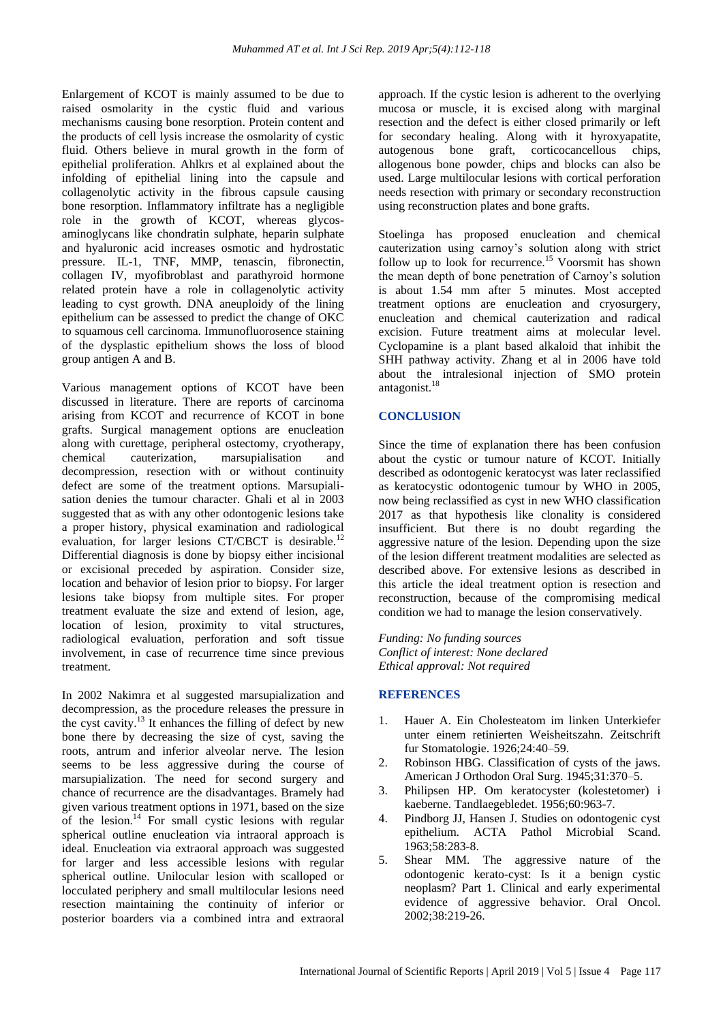Enlargement of KCOT is mainly assumed to be due to raised osmolarity in the cystic fluid and various mechanisms causing bone resorption. Protein content and the products of cell lysis increase the osmolarity of cystic fluid. Others believe in mural growth in the form of epithelial proliferation. Ahlkrs et al explained about the infolding of epithelial lining into the capsule and collagenolytic activity in the fibrous capsule causing bone resorption. Inflammatory infiltrate has a negligible role in the growth of KCOT, whereas glycosaminoglycans like chondratin sulphate, heparin sulphate and hyaluronic acid increases osmotic and hydrostatic pressure. IL-1, TNF, MMP, tenascin, fibronectin, collagen IV, myofibroblast and parathyroid hormone related protein have a role in collagenolytic activity leading to cyst growth. DNA aneuploidy of the lining epithelium can be assessed to predict the change of OKC to squamous cell carcinoma. Immunofluorosence staining of the dysplastic epithelium shows the loss of blood group antigen A and B.

Various management options of KCOT have been discussed in literature. There are reports of carcinoma arising from KCOT and recurrence of KCOT in bone grafts. Surgical management options are enucleation along with curettage, peripheral ostectomy, cryotherapy, chemical cauterization, marsupialisation and decompression, resection with or without continuity defect are some of the treatment options. Marsupialisation denies the tumour character. Ghali et al in 2003 suggested that as with any other odontogenic lesions take a proper history, physical examination and radiological evaluation, for larger lesions CT/CBCT is desirable.<sup>12</sup> Differential diagnosis is done by biopsy either incisional or excisional preceded by aspiration. Consider size, location and behavior of lesion prior to biopsy. For larger lesions take biopsy from multiple sites. For proper treatment evaluate the size and extend of lesion, age, location of lesion, proximity to vital structures, radiological evaluation, perforation and soft tissue involvement, in case of recurrence time since previous treatment.

In 2002 Nakimra et al suggested marsupialization and decompression, as the procedure releases the pressure in the cyst cavity.<sup>13</sup> It enhances the filling of defect by new bone there by decreasing the size of cyst, saving the roots, antrum and inferior alveolar nerve. The lesion seems to be less aggressive during the course of marsupialization. The need for second surgery and chance of recurrence are the disadvantages. Bramely had given various treatment options in 1971, based on the size of the lesion.<sup>14</sup> For small cystic lesions with regular spherical outline enucleation via intraoral approach is ideal. Enucleation via extraoral approach was suggested for larger and less accessible lesions with regular spherical outline. Unilocular lesion with scalloped or locculated periphery and small multilocular lesions need resection maintaining the continuity of inferior or posterior boarders via a combined intra and extraoral approach. If the cystic lesion is adherent to the overlying mucosa or muscle, it is excised along with marginal resection and the defect is either closed primarily or left for secondary healing. Along with it hyroxyapatite, autogenous bone graft, corticocancellous chips, allogenous bone powder, chips and blocks can also be used. Large multilocular lesions with cortical perforation needs resection with primary or secondary reconstruction using reconstruction plates and bone grafts.

Stoelinga has proposed enucleation and chemical cauterization using carnoy's solution along with strict follow up to look for recurrence.<sup>15</sup> Voorsmit has shown the mean depth of bone penetration of Carnoy's solution is about 1.54 mm after 5 minutes. Most accepted treatment options are enucleation and cryosurgery, enucleation and chemical cauterization and radical excision. Future treatment aims at molecular level. Cyclopamine is a plant based alkaloid that inhibit the SHH pathway activity. Zhang et al in 2006 have told about the intralesional injection of SMO protein antagonist.<sup>18</sup>

## **CONCLUSION**

Since the time of explanation there has been confusion about the cystic or tumour nature of KCOT. Initially described as odontogenic keratocyst was later reclassified as keratocystic odontogenic tumour by WHO in 2005, now being reclassified as cyst in new WHO classification 2017 as that hypothesis like clonality is considered insufficient. But there is no doubt regarding the aggressive nature of the lesion. Depending upon the size of the lesion different treatment modalities are selected as described above. For extensive lesions as described in this article the ideal treatment option is resection and reconstruction, because of the compromising medical condition we had to manage the lesion conservatively.

*Funding: No funding sources Conflict of interest: None declared Ethical approval: Not required*

#### **REFERENCES**

- 1. Hauer A. Ein Cholesteatom im linken Unterkiefer unter einem retinierten Weisheitszahn. Zeitschrift fur Stomatologie. 1926;24:40–59.
- 2. Robinson HBG. Classification of cysts of the jaws. American J Orthodon Oral Surg. 1945;31:370–5.
- 3. Philipsen HP. Om keratocyster (kolestetomer) i kaeberne. Tandlaegebledet. 1956;60:963-7.
- 4. Pindborg JJ, Hansen J. Studies on odontogenic cyst epithelium. ACTA Pathol Microbial Scand. 1963;58:283-8.
- 5. Shear MM. The aggressive nature of the odontogenic kerato-cyst: Is it a benign cystic neoplasm? Part 1. Clinical and early experimental evidence of aggressive behavior. Oral Oncol. 2002;38:219-26.